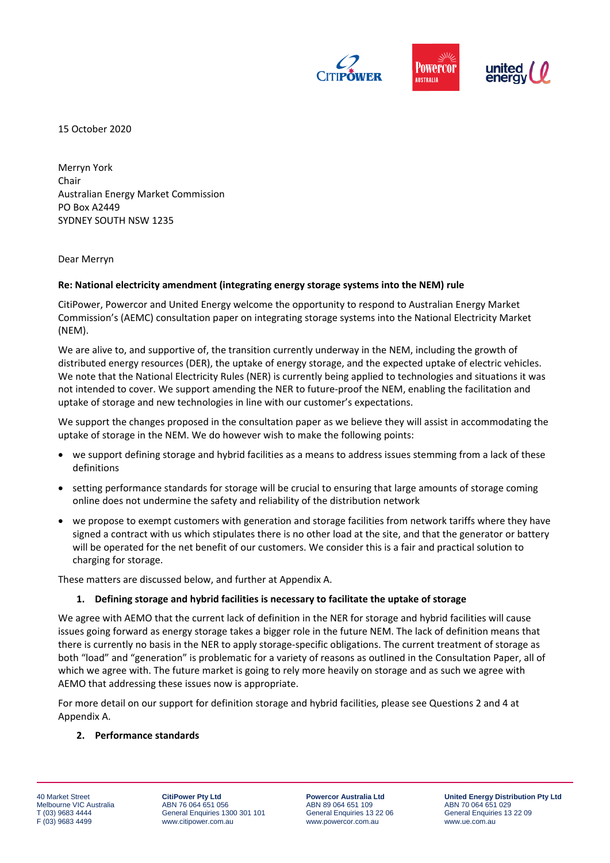

15 October 2020

Merryn York Chair Australian Energy Market Commission PO Box A2449 SYDNEY SOUTH NSW 1235

Dear Merryn

## **Re: National electricity amendment (integrating energy storage systems into the NEM) rule**

CitiPower, Powercor and United Energy welcome the opportunity to respond to Australian Energy Market Commission's (AEMC) consultation paper on integrating storage systems into the National Electricity Market (NEM).

We are alive to, and supportive of, the transition currently underway in the NEM, including the growth of distributed energy resources (DER), the uptake of energy storage, and the expected uptake of electric vehicles. We note that the National Electricity Rules (NER) is currently being applied to technologies and situations it was not intended to cover. We support amending the NER to future-proof the NEM, enabling the facilitation and uptake of storage and new technologies in line with our customer's expectations.

We support the changes proposed in the consultation paper as we believe they will assist in accommodating the uptake of storage in the NEM. We do however wish to make the following points:

- we support defining storage and hybrid facilities as a means to address issues stemming from a lack of these definitions
- setting performance standards for storage will be crucial to ensuring that large amounts of storage coming online does not undermine the safety and reliability of the distribution network
- we propose to exempt customers with generation and storage facilities from network tariffs where they have signed a contract with us which stipulates there is no other load at the site, and that the generator or battery will be operated for the net benefit of our customers. We consider this is a fair and practical solution to charging for storage.

These matters are discussed below, and further at Appendix A.

## **1. Defining storage and hybrid facilities is necessary to facilitate the uptake of storage**

We agree with AEMO that the current lack of definition in the NER for storage and hybrid facilities will cause issues going forward as energy storage takes a bigger role in the future NEM. The lack of definition means that there is currently no basis in the NER to apply storage-specific obligations. The current treatment of storage as both "load" and "generation" is problematic for a variety of reasons as outlined in the Consultation Paper, all of which we agree with. The future market is going to rely more heavily on storage and as such we agree with AEMO that addressing these issues now is appropriate.

For more detail on our support for definition storage and hybrid facilities, please see Questions 2 and 4 at Appendix A.

#### **2. Performance standards**

40 Market Street Melbourne VIC Australia T (03) 9683 4444 F (03) 9683 4499

**CitiPower Pty Ltd** ABN 76 064 651 056 General Enquiries 1300 301 101 www.citipower.com.au

**Powercor Australia Ltd** ABN 89 064 651 109 General Enquiries 13 22 06 www.powercor.com.au

**United Energy Distribution Pty Ltd** ABN 70 064 651 029 General Enquiries 13 22 09 www.ue.com.au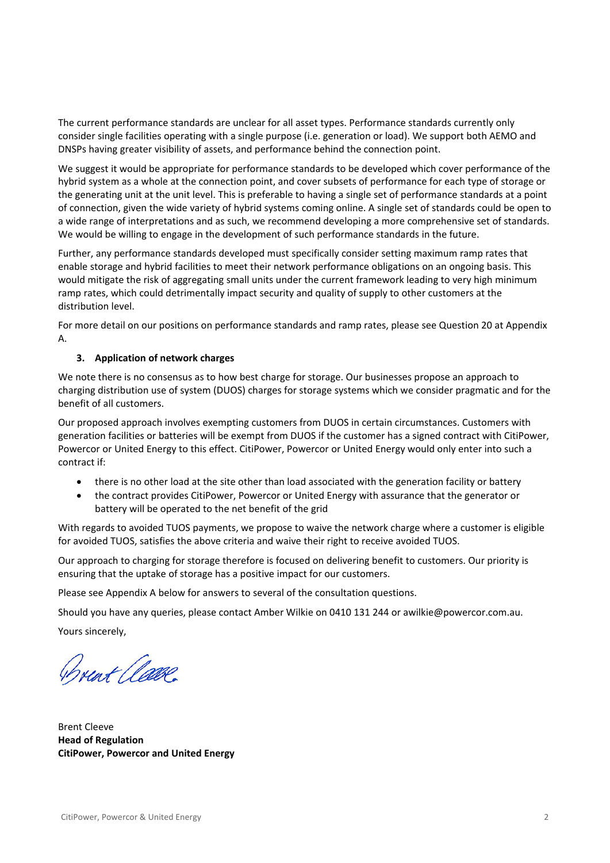The current performance standards are unclear for all asset types. Performance standards currently only consider single facilities operating with a single purpose (i.e. generation or load). We support both AEMO and DNSPs having greater visibility of assets, and performance behind the connection point.

We suggest it would be appropriate for performance standards to be developed which cover performance of the hybrid system as a whole at the connection point, and cover subsets of performance for each type of storage or the generating unit at the unit level. This is preferable to having a single set of performance standards at a point of connection, given the wide variety of hybrid systems coming online. A single set of standards could be open to a wide range of interpretations and as such, we recommend developing a more comprehensive set of standards. We would be willing to engage in the development of such performance standards in the future.

Further, any performance standards developed must specifically consider setting maximum ramp rates that enable storage and hybrid facilities to meet their network performance obligations on an ongoing basis. This would mitigate the risk of aggregating small units under the current framework leading to very high minimum ramp rates, which could detrimentally impact security and quality of supply to other customers at the distribution level.

For more detail on our positions on performance standards and ramp rates, please see Question 20 at Appendix A.

# **3. Application of network charges**

We note there is no consensus as to how best charge for storage. Our businesses propose an approach to charging distribution use of system (DUOS) charges for storage systems which we consider pragmatic and for the benefit of all customers.

Our proposed approach involves exempting customers from DUOS in certain circumstances. Customers with generation facilities or batteries will be exempt from DUOS if the customer has a signed contract with CitiPower, Powercor or United Energy to this effect. CitiPower, Powercor or United Energy would only enter into such a contract if:

- there is no other load at the site other than load associated with the generation facility or battery
- the contract provides CitiPower, Powercor or United Energy with assurance that the generator or battery will be operated to the net benefit of the grid

With regards to avoided TUOS payments, we propose to waive the network charge where a customer is eligible for avoided TUOS, satisfies the above criteria and waive their right to receive avoided TUOS.

Our approach to charging for storage therefore is focused on delivering benefit to customers. Our priority is ensuring that the uptake of storage has a positive impact for our customers.

Please see Appendix A below for answers to several of the consultation questions.

Should you have any queries, please contact Amber Wilkie on 0410 131 244 or awilkie@powercor.com.au.

Yours sincerely,

Brent Clave

Brent Cleeve **Head of Regulation CitiPower, Powercor and United Energy**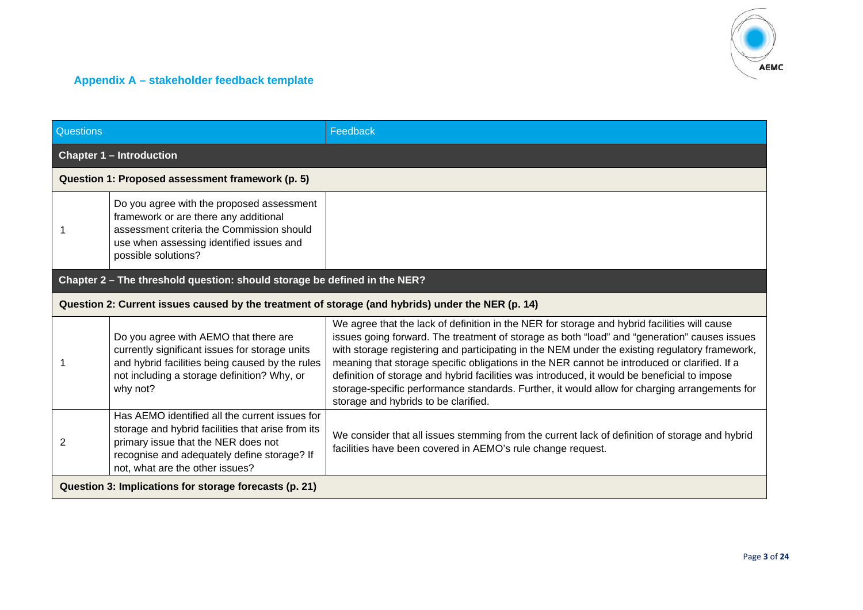

# **Appendix A – stakeholder feedback template**

| <b>Questions</b>                                       |                                                                                                                                                                                                                              | Feedback                                                                                                                                                                                                                                                                                                                                                                                                                                                                                                                                                                                                                                |  |
|--------------------------------------------------------|------------------------------------------------------------------------------------------------------------------------------------------------------------------------------------------------------------------------------|-----------------------------------------------------------------------------------------------------------------------------------------------------------------------------------------------------------------------------------------------------------------------------------------------------------------------------------------------------------------------------------------------------------------------------------------------------------------------------------------------------------------------------------------------------------------------------------------------------------------------------------------|--|
|                                                        | <b>Chapter 1 - Introduction</b>                                                                                                                                                                                              |                                                                                                                                                                                                                                                                                                                                                                                                                                                                                                                                                                                                                                         |  |
|                                                        | Question 1: Proposed assessment framework (p. 5)                                                                                                                                                                             |                                                                                                                                                                                                                                                                                                                                                                                                                                                                                                                                                                                                                                         |  |
|                                                        | Do you agree with the proposed assessment<br>framework or are there any additional<br>assessment criteria the Commission should<br>use when assessing identified issues and<br>possible solutions?                           |                                                                                                                                                                                                                                                                                                                                                                                                                                                                                                                                                                                                                                         |  |
|                                                        | Chapter 2 - The threshold question: should storage be defined in the NER?                                                                                                                                                    |                                                                                                                                                                                                                                                                                                                                                                                                                                                                                                                                                                                                                                         |  |
|                                                        | Question 2: Current issues caused by the treatment of storage (and hybrids) under the NER (p. 14)                                                                                                                            |                                                                                                                                                                                                                                                                                                                                                                                                                                                                                                                                                                                                                                         |  |
|                                                        | Do you agree with AEMO that there are<br>currently significant issues for storage units<br>and hybrid facilities being caused by the rules<br>not including a storage definition? Why, or<br>why not?                        | We agree that the lack of definition in the NER for storage and hybrid facilities will cause<br>issues going forward. The treatment of storage as both "load" and "generation" causes issues<br>with storage registering and participating in the NEM under the existing regulatory framework,<br>meaning that storage specific obligations in the NER cannot be introduced or clarified. If a<br>definition of storage and hybrid facilities was introduced, it would be beneficial to impose<br>storage-specific performance standards. Further, it would allow for charging arrangements for<br>storage and hybrids to be clarified. |  |
| 2                                                      | Has AEMO identified all the current issues for<br>storage and hybrid facilities that arise from its<br>primary issue that the NER does not<br>recognise and adequately define storage? If<br>not, what are the other issues? | We consider that all issues stemming from the current lack of definition of storage and hybrid<br>facilities have been covered in AEMO's rule change request.                                                                                                                                                                                                                                                                                                                                                                                                                                                                           |  |
| Question 3: Implications for storage forecasts (p. 21) |                                                                                                                                                                                                                              |                                                                                                                                                                                                                                                                                                                                                                                                                                                                                                                                                                                                                                         |  |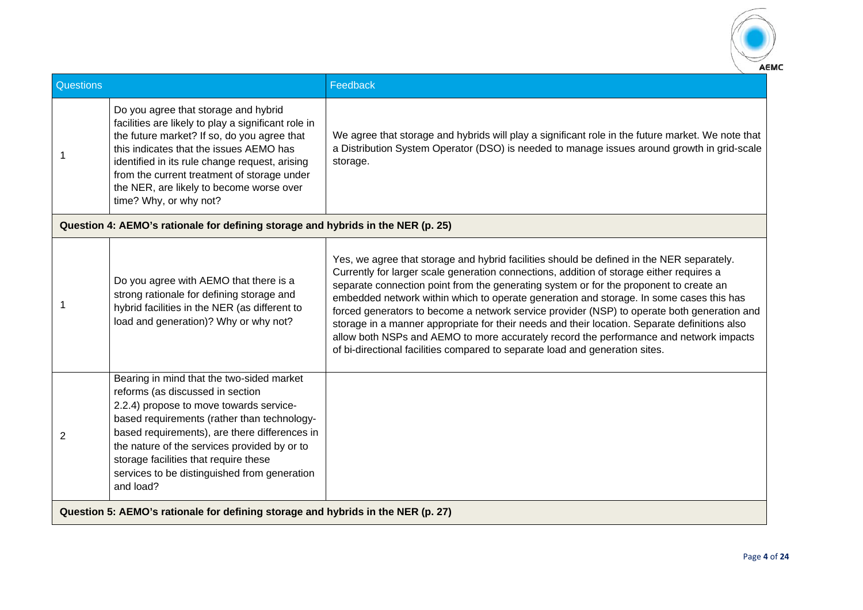

| Questions                                                                        |                                                                                                                                                                                                                                                                                                                                                                                | Feedback                                                                                                                                                                                                                                                                                                                                                                                                                                                                                                                                                                                                                                                                                                                                             |
|----------------------------------------------------------------------------------|--------------------------------------------------------------------------------------------------------------------------------------------------------------------------------------------------------------------------------------------------------------------------------------------------------------------------------------------------------------------------------|------------------------------------------------------------------------------------------------------------------------------------------------------------------------------------------------------------------------------------------------------------------------------------------------------------------------------------------------------------------------------------------------------------------------------------------------------------------------------------------------------------------------------------------------------------------------------------------------------------------------------------------------------------------------------------------------------------------------------------------------------|
|                                                                                  | Do you agree that storage and hybrid<br>facilities are likely to play a significant role in<br>the future market? If so, do you agree that<br>this indicates that the issues AEMO has<br>identified in its rule change request, arising<br>from the current treatment of storage under<br>the NER, are likely to become worse over<br>time? Why, or why not?                   | We agree that storage and hybrids will play a significant role in the future market. We note that<br>a Distribution System Operator (DSO) is needed to manage issues around growth in grid-scale<br>storage.                                                                                                                                                                                                                                                                                                                                                                                                                                                                                                                                         |
|                                                                                  | Question 4: AEMO's rationale for defining storage and hybrids in the NER (p. 25)                                                                                                                                                                                                                                                                                               |                                                                                                                                                                                                                                                                                                                                                                                                                                                                                                                                                                                                                                                                                                                                                      |
|                                                                                  | Do you agree with AEMO that there is a<br>strong rationale for defining storage and<br>hybrid facilities in the NER (as different to<br>load and generation)? Why or why not?                                                                                                                                                                                                  | Yes, we agree that storage and hybrid facilities should be defined in the NER separately.<br>Currently for larger scale generation connections, addition of storage either requires a<br>separate connection point from the generating system or for the proponent to create an<br>embedded network within which to operate generation and storage. In some cases this has<br>forced generators to become a network service provider (NSP) to operate both generation and<br>storage in a manner appropriate for their needs and their location. Separate definitions also<br>allow both NSPs and AEMO to more accurately record the performance and network impacts<br>of bi-directional facilities compared to separate load and generation sites. |
| 2                                                                                | Bearing in mind that the two-sided market<br>reforms (as discussed in section<br>2.2.4) propose to move towards service-<br>based requirements (rather than technology-<br>based requirements), are there differences in<br>the nature of the services provided by or to<br>storage facilities that require these<br>services to be distinguished from generation<br>and load? |                                                                                                                                                                                                                                                                                                                                                                                                                                                                                                                                                                                                                                                                                                                                                      |
| Question 5: AEMO's rationale for defining storage and hybrids in the NER (p. 27) |                                                                                                                                                                                                                                                                                                                                                                                |                                                                                                                                                                                                                                                                                                                                                                                                                                                                                                                                                                                                                                                                                                                                                      |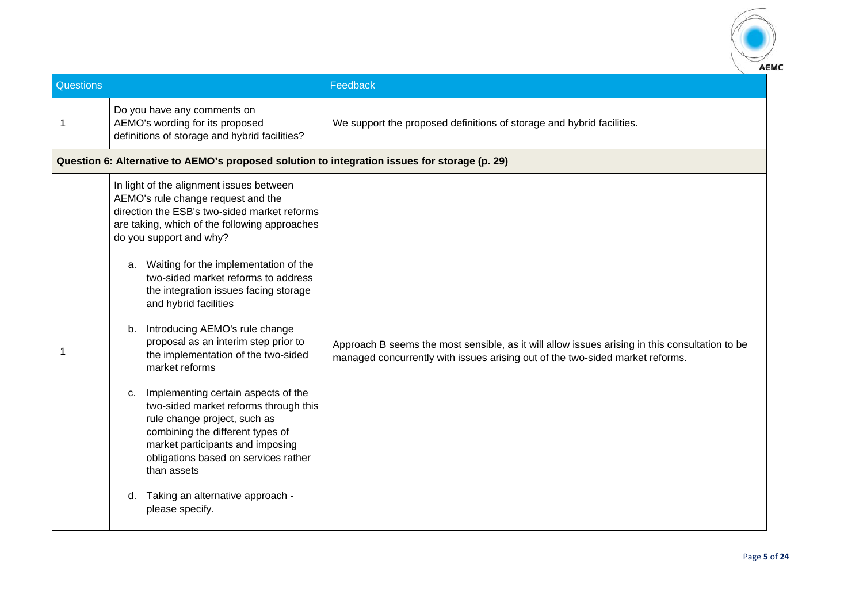

| Questions |                                                                                                                                                                                                                                                                                                                                                                                                                                                                                                                                                                                                                                                                                                                                                                                                                         | Feedback                                                                                                                                                                        |
|-----------|-------------------------------------------------------------------------------------------------------------------------------------------------------------------------------------------------------------------------------------------------------------------------------------------------------------------------------------------------------------------------------------------------------------------------------------------------------------------------------------------------------------------------------------------------------------------------------------------------------------------------------------------------------------------------------------------------------------------------------------------------------------------------------------------------------------------------|---------------------------------------------------------------------------------------------------------------------------------------------------------------------------------|
| 1         | Do you have any comments on<br>AEMO's wording for its proposed<br>definitions of storage and hybrid facilities?                                                                                                                                                                                                                                                                                                                                                                                                                                                                                                                                                                                                                                                                                                         | We support the proposed definitions of storage and hybrid facilities.                                                                                                           |
|           | Question 6: Alternative to AEMO's proposed solution to integration issues for storage (p. 29)                                                                                                                                                                                                                                                                                                                                                                                                                                                                                                                                                                                                                                                                                                                           |                                                                                                                                                                                 |
|           | In light of the alignment issues between<br>AEMO's rule change request and the<br>direction the ESB's two-sided market reforms<br>are taking, which of the following approaches<br>do you support and why?<br>a. Waiting for the implementation of the<br>two-sided market reforms to address<br>the integration issues facing storage<br>and hybrid facilities<br>b. Introducing AEMO's rule change<br>proposal as an interim step prior to<br>the implementation of the two-sided<br>market reforms<br>Implementing certain aspects of the<br>c.<br>two-sided market reforms through this<br>rule change project, such as<br>combining the different types of<br>market participants and imposing<br>obligations based on services rather<br>than assets<br>Taking an alternative approach -<br>d.<br>please specify. | Approach B seems the most sensible, as it will allow issues arising in this consultation to be<br>managed concurrently with issues arising out of the two-sided market reforms. |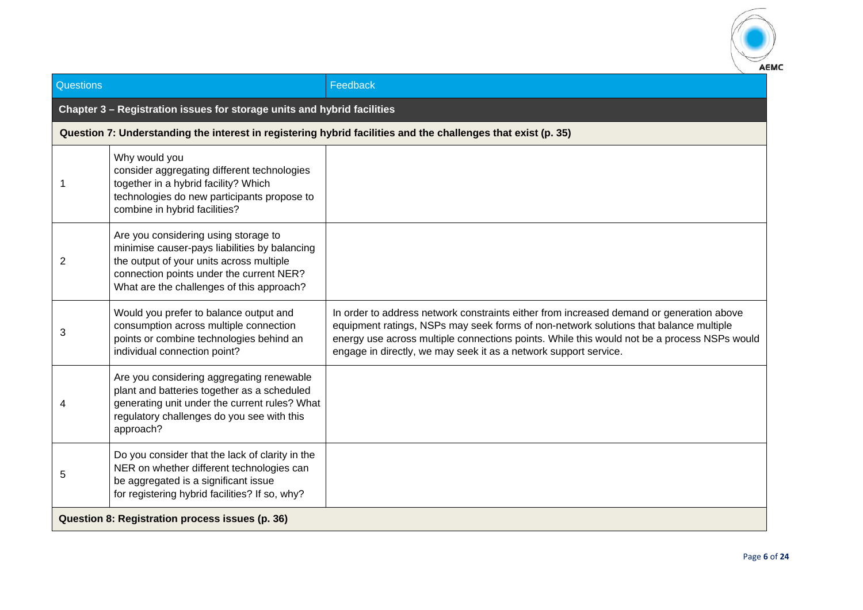

| <b>Questions</b>                                |                                                                                                                                                                                                                            | Feedback                                                                                                                                                                                                                                                                                                                                             |
|-------------------------------------------------|----------------------------------------------------------------------------------------------------------------------------------------------------------------------------------------------------------------------------|------------------------------------------------------------------------------------------------------------------------------------------------------------------------------------------------------------------------------------------------------------------------------------------------------------------------------------------------------|
|                                                 | Chapter 3 - Registration issues for storage units and hybrid facilities                                                                                                                                                    |                                                                                                                                                                                                                                                                                                                                                      |
|                                                 |                                                                                                                                                                                                                            | Question 7: Understanding the interest in registering hybrid facilities and the challenges that exist (p. 35)                                                                                                                                                                                                                                        |
|                                                 | Why would you<br>consider aggregating different technologies<br>together in a hybrid facility? Which<br>technologies do new participants propose to<br>combine in hybrid facilities?                                       |                                                                                                                                                                                                                                                                                                                                                      |
| 2                                               | Are you considering using storage to<br>minimise causer-pays liabilities by balancing<br>the output of your units across multiple<br>connection points under the current NER?<br>What are the challenges of this approach? |                                                                                                                                                                                                                                                                                                                                                      |
| 3                                               | Would you prefer to balance output and<br>consumption across multiple connection<br>points or combine technologies behind an<br>individual connection point?                                                               | In order to address network constraints either from increased demand or generation above<br>equipment ratings, NSPs may seek forms of non-network solutions that balance multiple<br>energy use across multiple connections points. While this would not be a process NSPs would<br>engage in directly, we may seek it as a network support service. |
|                                                 | Are you considering aggregating renewable<br>plant and batteries together as a scheduled<br>generating unit under the current rules? What<br>regulatory challenges do you see with this<br>approach?                       |                                                                                                                                                                                                                                                                                                                                                      |
| 5                                               | Do you consider that the lack of clarity in the<br>NER on whether different technologies can<br>be aggregated is a significant issue<br>for registering hybrid facilities? If so, why?                                     |                                                                                                                                                                                                                                                                                                                                                      |
| Question 8: Registration process issues (p. 36) |                                                                                                                                                                                                                            |                                                                                                                                                                                                                                                                                                                                                      |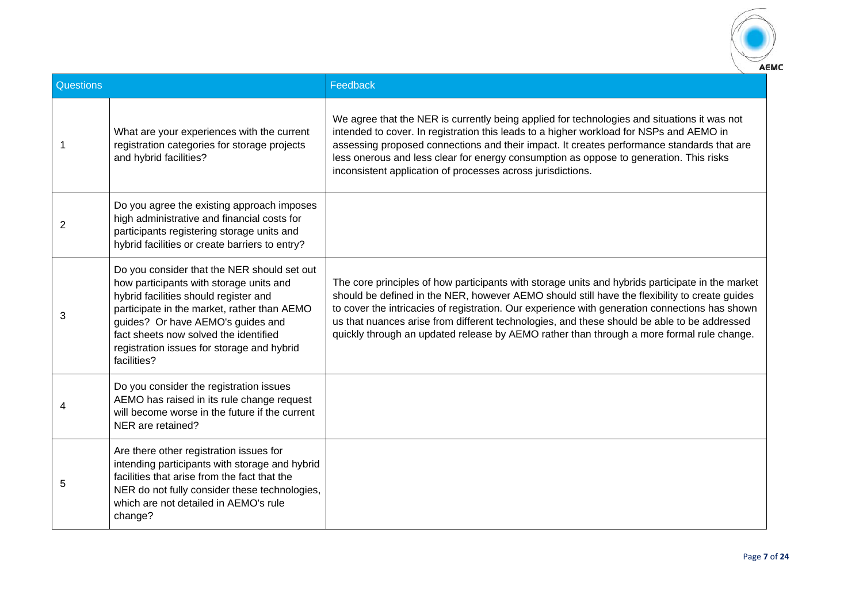

| Questions |                                                                                                                                                                                                                                                                                                                           | Feedback                                                                                                                                                                                                                                                                                                                                                                                                                                                                                        |
|-----------|---------------------------------------------------------------------------------------------------------------------------------------------------------------------------------------------------------------------------------------------------------------------------------------------------------------------------|-------------------------------------------------------------------------------------------------------------------------------------------------------------------------------------------------------------------------------------------------------------------------------------------------------------------------------------------------------------------------------------------------------------------------------------------------------------------------------------------------|
|           | What are your experiences with the current<br>registration categories for storage projects<br>and hybrid facilities?                                                                                                                                                                                                      | We agree that the NER is currently being applied for technologies and situations it was not<br>intended to cover. In registration this leads to a higher workload for NSPs and AEMO in<br>assessing proposed connections and their impact. It creates performance standards that are<br>less onerous and less clear for energy consumption as oppose to generation. This risks<br>inconsistent application of processes across jurisdictions.                                                   |
| 2         | Do you agree the existing approach imposes<br>high administrative and financial costs for<br>participants registering storage units and<br>hybrid facilities or create barriers to entry?                                                                                                                                 |                                                                                                                                                                                                                                                                                                                                                                                                                                                                                                 |
| 3         | Do you consider that the NER should set out<br>how participants with storage units and<br>hybrid facilities should register and<br>participate in the market, rather than AEMO<br>guides? Or have AEMO's guides and<br>fact sheets now solved the identified<br>registration issues for storage and hybrid<br>facilities? | The core principles of how participants with storage units and hybrids participate in the market<br>should be defined in the NER, however AEMO should still have the flexibility to create guides<br>to cover the intricacies of registration. Our experience with generation connections has shown<br>us that nuances arise from different technologies, and these should be able to be addressed<br>quickly through an updated release by AEMO rather than through a more formal rule change. |
|           | Do you consider the registration issues<br>AEMO has raised in its rule change request<br>will become worse in the future if the current<br>NER are retained?                                                                                                                                                              |                                                                                                                                                                                                                                                                                                                                                                                                                                                                                                 |
| 5         | Are there other registration issues for<br>intending participants with storage and hybrid<br>facilities that arise from the fact that the<br>NER do not fully consider these technologies,<br>which are not detailed in AEMO's rule<br>change?                                                                            |                                                                                                                                                                                                                                                                                                                                                                                                                                                                                                 |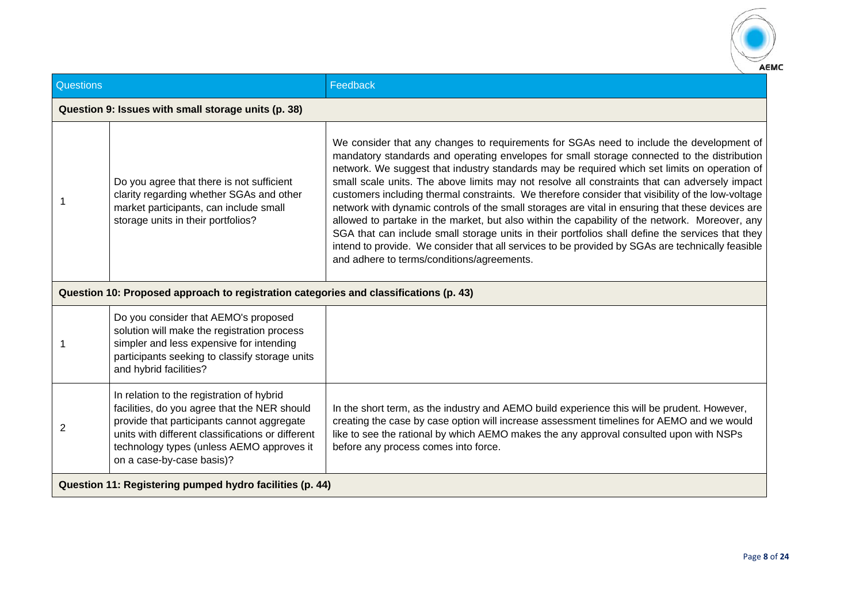

| Questions                                                |                                                                                                                                                                                                                                                                        | Feedback                                                                                                                                                                                                                                                                                                                                                                                                                                                                                                                                                                                                                                                                                                                                                                                                                                                                                                                                                  |  |
|----------------------------------------------------------|------------------------------------------------------------------------------------------------------------------------------------------------------------------------------------------------------------------------------------------------------------------------|-----------------------------------------------------------------------------------------------------------------------------------------------------------------------------------------------------------------------------------------------------------------------------------------------------------------------------------------------------------------------------------------------------------------------------------------------------------------------------------------------------------------------------------------------------------------------------------------------------------------------------------------------------------------------------------------------------------------------------------------------------------------------------------------------------------------------------------------------------------------------------------------------------------------------------------------------------------|--|
|                                                          | Question 9: Issues with small storage units (p. 38)                                                                                                                                                                                                                    |                                                                                                                                                                                                                                                                                                                                                                                                                                                                                                                                                                                                                                                                                                                                                                                                                                                                                                                                                           |  |
|                                                          | Do you agree that there is not sufficient<br>clarity regarding whether SGAs and other<br>market participants, can include small<br>storage units in their portfolios?                                                                                                  | We consider that any changes to requirements for SGAs need to include the development of<br>mandatory standards and operating envelopes for small storage connected to the distribution<br>network. We suggest that industry standards may be required which set limits on operation of<br>small scale units. The above limits may not resolve all constraints that can adversely impact<br>customers including thermal constraints. We therefore consider that visibility of the low-voltage<br>network with dynamic controls of the small storages are vital in ensuring that these devices are<br>allowed to partake in the market, but also within the capability of the network. Moreover, any<br>SGA that can include small storage units in their portfolios shall define the services that they<br>intend to provide. We consider that all services to be provided by SGAs are technically feasible<br>and adhere to terms/conditions/agreements. |  |
|                                                          | Question 10: Proposed approach to registration categories and classifications (p. 43)                                                                                                                                                                                  |                                                                                                                                                                                                                                                                                                                                                                                                                                                                                                                                                                                                                                                                                                                                                                                                                                                                                                                                                           |  |
|                                                          | Do you consider that AEMO's proposed<br>solution will make the registration process<br>simpler and less expensive for intending<br>participants seeking to classify storage units<br>and hybrid facilities?                                                            |                                                                                                                                                                                                                                                                                                                                                                                                                                                                                                                                                                                                                                                                                                                                                                                                                                                                                                                                                           |  |
| 2                                                        | In relation to the registration of hybrid<br>facilities, do you agree that the NER should<br>provide that participants cannot aggregate<br>units with different classifications or different<br>technology types (unless AEMO approves it<br>on a case-by-case basis)? | In the short term, as the industry and AEMO build experience this will be prudent. However,<br>creating the case by case option will increase assessment timelines for AEMO and we would<br>like to see the rational by which AEMO makes the any approval consulted upon with NSPs<br>before any process comes into force.                                                                                                                                                                                                                                                                                                                                                                                                                                                                                                                                                                                                                                |  |
| Question 11: Registering pumped hydro facilities (p. 44) |                                                                                                                                                                                                                                                                        |                                                                                                                                                                                                                                                                                                                                                                                                                                                                                                                                                                                                                                                                                                                                                                                                                                                                                                                                                           |  |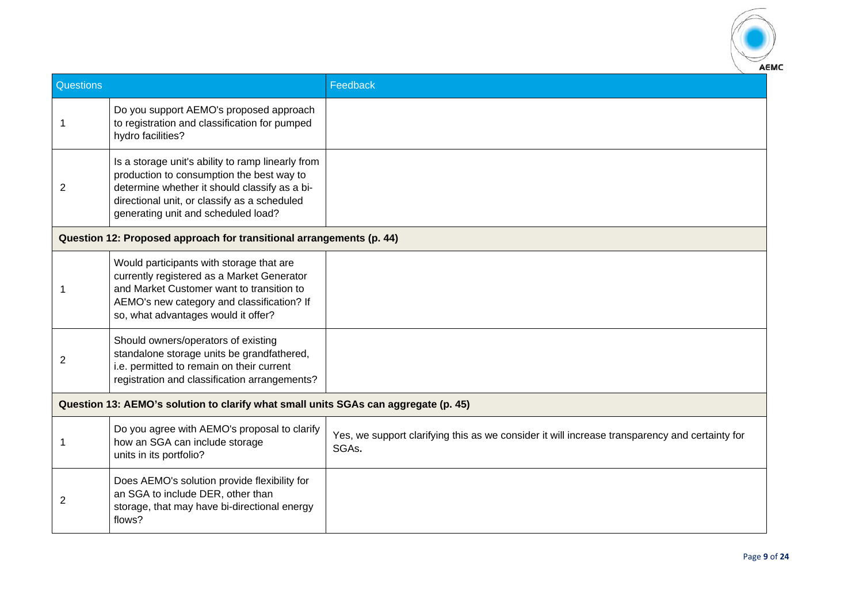

| Questions |                                                                                                                                                                                                                                        | Feedback                                                                                                |  |
|-----------|----------------------------------------------------------------------------------------------------------------------------------------------------------------------------------------------------------------------------------------|---------------------------------------------------------------------------------------------------------|--|
|           | Do you support AEMO's proposed approach<br>to registration and classification for pumped<br>hydro facilities?                                                                                                                          |                                                                                                         |  |
| 2         | Is a storage unit's ability to ramp linearly from<br>production to consumption the best way to<br>determine whether it should classify as a bi-<br>directional unit, or classify as a scheduled<br>generating unit and scheduled load? |                                                                                                         |  |
|           | Question 12: Proposed approach for transitional arrangements (p. 44)                                                                                                                                                                   |                                                                                                         |  |
| 1         | Would participants with storage that are<br>currently registered as a Market Generator<br>and Market Customer want to transition to<br>AEMO's new category and classification? If<br>so, what advantages would it offer?               |                                                                                                         |  |
| 2         | Should owners/operators of existing<br>standalone storage units be grandfathered,<br>i.e. permitted to remain on their current<br>registration and classification arrangements?                                                        |                                                                                                         |  |
|           | Question 13: AEMO's solution to clarify what small units SGAs can aggregate (p. 45)                                                                                                                                                    |                                                                                                         |  |
|           | Do you agree with AEMO's proposal to clarify<br>how an SGA can include storage<br>units in its portfolio?                                                                                                                              | Yes, we support clarifying this as we consider it will increase transparency and certainty for<br>SGAs. |  |
| 2         | Does AEMO's solution provide flexibility for<br>an SGA to include DER, other than<br>storage, that may have bi-directional energy<br>flows?                                                                                            |                                                                                                         |  |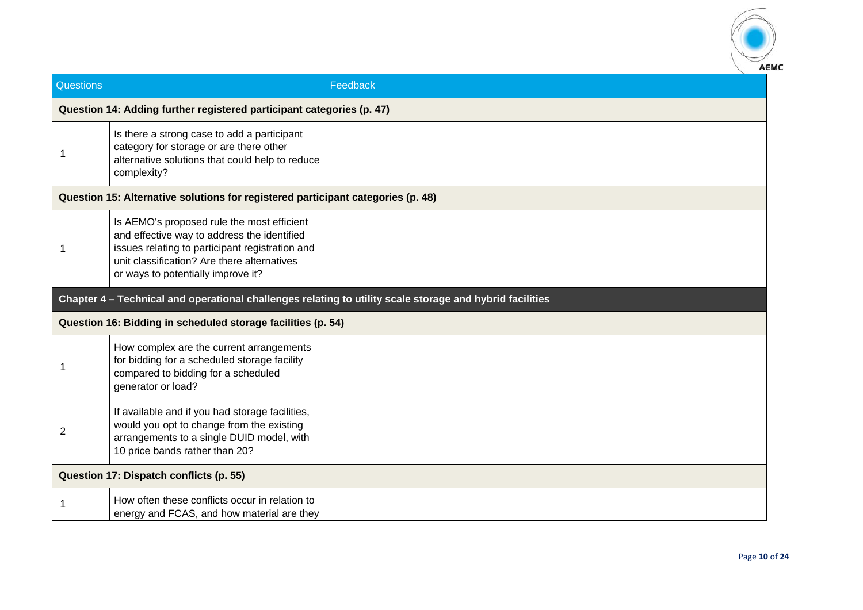

| Questions |                                                                                                                                                                                                                                   | Feedback                                                                                                 |  |
|-----------|-----------------------------------------------------------------------------------------------------------------------------------------------------------------------------------------------------------------------------------|----------------------------------------------------------------------------------------------------------|--|
|           | Question 14: Adding further registered participant categories (p. 47)                                                                                                                                                             |                                                                                                          |  |
|           | Is there a strong case to add a participant<br>category for storage or are there other<br>alternative solutions that could help to reduce<br>complexity?                                                                          |                                                                                                          |  |
|           | Question 15: Alternative solutions for registered participant categories (p. 48)                                                                                                                                                  |                                                                                                          |  |
|           | Is AEMO's proposed rule the most efficient<br>and effective way to address the identified<br>issues relating to participant registration and<br>unit classification? Are there alternatives<br>or ways to potentially improve it? |                                                                                                          |  |
|           |                                                                                                                                                                                                                                   | Chapter 4 - Technical and operational challenges relating to utility scale storage and hybrid facilities |  |
|           | Question 16: Bidding in scheduled storage facilities (p. 54)                                                                                                                                                                      |                                                                                                          |  |
|           | How complex are the current arrangements<br>for bidding for a scheduled storage facility<br>compared to bidding for a scheduled<br>generator or load?                                                                             |                                                                                                          |  |
| 2         | If available and if you had storage facilities,<br>would you opt to change from the existing<br>arrangements to a single DUID model, with<br>10 price bands rather than 20?                                                       |                                                                                                          |  |
|           | Question 17: Dispatch conflicts (p. 55)                                                                                                                                                                                           |                                                                                                          |  |
|           | How often these conflicts occur in relation to<br>energy and FCAS, and how material are they                                                                                                                                      |                                                                                                          |  |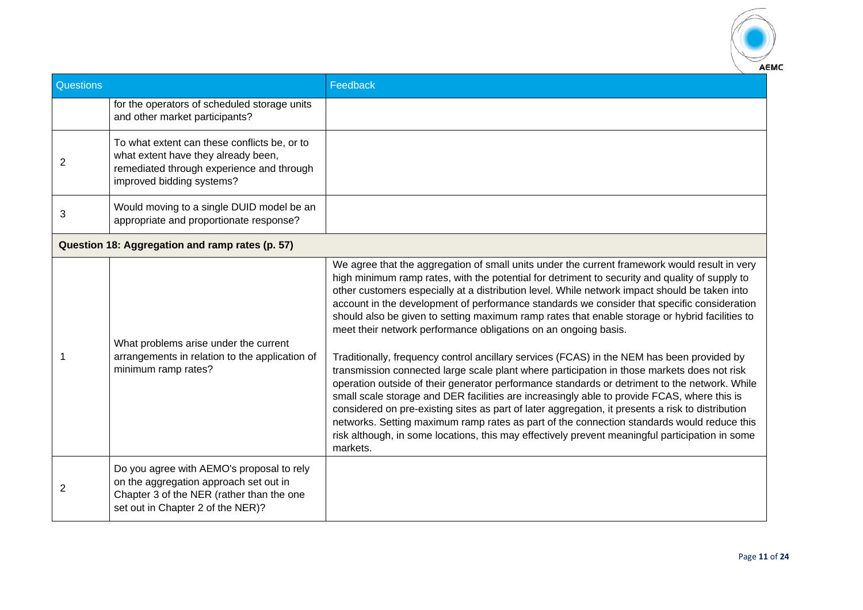

| Questions      |                                                                                                                                                                       | Feedback                                                                                                                                                                                                                                                                                                                                                                                                                                                                                                                                                                                                                                                                                                                                                                                                                                                                                                                                                                                                                                                                                                                                                                                                                                                                            |
|----------------|-----------------------------------------------------------------------------------------------------------------------------------------------------------------------|-------------------------------------------------------------------------------------------------------------------------------------------------------------------------------------------------------------------------------------------------------------------------------------------------------------------------------------------------------------------------------------------------------------------------------------------------------------------------------------------------------------------------------------------------------------------------------------------------------------------------------------------------------------------------------------------------------------------------------------------------------------------------------------------------------------------------------------------------------------------------------------------------------------------------------------------------------------------------------------------------------------------------------------------------------------------------------------------------------------------------------------------------------------------------------------------------------------------------------------------------------------------------------------|
|                | for the operators of scheduled storage units<br>and other market participants?                                                                                        |                                                                                                                                                                                                                                                                                                                                                                                                                                                                                                                                                                                                                                                                                                                                                                                                                                                                                                                                                                                                                                                                                                                                                                                                                                                                                     |
| $\overline{2}$ | To what extent can these conflicts be, or to<br>what extent have they already been,<br>remediated through experience and through<br>improved bidding systems?         |                                                                                                                                                                                                                                                                                                                                                                                                                                                                                                                                                                                                                                                                                                                                                                                                                                                                                                                                                                                                                                                                                                                                                                                                                                                                                     |
| 3              | Would moving to a single DUID model be an<br>appropriate and proportionate response?                                                                                  |                                                                                                                                                                                                                                                                                                                                                                                                                                                                                                                                                                                                                                                                                                                                                                                                                                                                                                                                                                                                                                                                                                                                                                                                                                                                                     |
|                | Question 18: Aggregation and ramp rates (p. 57)                                                                                                                       |                                                                                                                                                                                                                                                                                                                                                                                                                                                                                                                                                                                                                                                                                                                                                                                                                                                                                                                                                                                                                                                                                                                                                                                                                                                                                     |
|                | What problems arise under the current<br>arrangements in relation to the application of<br>minimum ramp rates?                                                        | We agree that the aggregation of small units under the current framework would result in very<br>high minimum ramp rates, with the potential for detriment to security and quality of supply to<br>other customers especially at a distribution level. While network impact should be taken into<br>account in the development of performance standards we consider that specific consideration<br>should also be given to setting maximum ramp rates that enable storage or hybrid facilities to<br>meet their network performance obligations on an ongoing basis.<br>Traditionally, frequency control ancillary services (FCAS) in the NEM has been provided by<br>transmission connected large scale plant where participation in those markets does not risk<br>operation outside of their generator performance standards or detriment to the network. While<br>small scale storage and DER facilities are increasingly able to provide FCAS, where this is<br>considered on pre-existing sites as part of later aggregation, it presents a risk to distribution<br>networks. Setting maximum ramp rates as part of the connection standards would reduce this<br>risk although, in some locations, this may effectively prevent meaningful participation in some<br>markets. |
| 2              | Do you agree with AEMO's proposal to rely<br>on the aggregation approach set out in<br>Chapter 3 of the NER (rather than the one<br>set out in Chapter 2 of the NER)? |                                                                                                                                                                                                                                                                                                                                                                                                                                                                                                                                                                                                                                                                                                                                                                                                                                                                                                                                                                                                                                                                                                                                                                                                                                                                                     |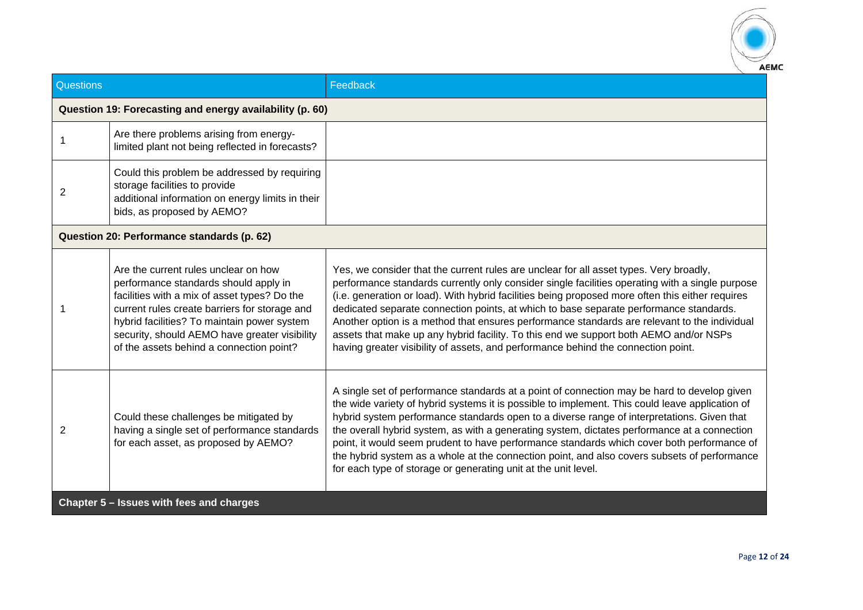

| Questions                                |                                                                                                                                                                                                                                                                                                                            | Feedback                                                                                                                                                                                                                                                                                                                                                                                                                                                                                                                                                                                                                                                              |  |
|------------------------------------------|----------------------------------------------------------------------------------------------------------------------------------------------------------------------------------------------------------------------------------------------------------------------------------------------------------------------------|-----------------------------------------------------------------------------------------------------------------------------------------------------------------------------------------------------------------------------------------------------------------------------------------------------------------------------------------------------------------------------------------------------------------------------------------------------------------------------------------------------------------------------------------------------------------------------------------------------------------------------------------------------------------------|--|
|                                          | Question 19: Forecasting and energy availability (p. 60)                                                                                                                                                                                                                                                                   |                                                                                                                                                                                                                                                                                                                                                                                                                                                                                                                                                                                                                                                                       |  |
|                                          | Are there problems arising from energy-<br>limited plant not being reflected in forecasts?                                                                                                                                                                                                                                 |                                                                                                                                                                                                                                                                                                                                                                                                                                                                                                                                                                                                                                                                       |  |
| 2                                        | Could this problem be addressed by requiring<br>storage facilities to provide<br>additional information on energy limits in their<br>bids, as proposed by AEMO?                                                                                                                                                            |                                                                                                                                                                                                                                                                                                                                                                                                                                                                                                                                                                                                                                                                       |  |
|                                          | Question 20: Performance standards (p. 62)                                                                                                                                                                                                                                                                                 |                                                                                                                                                                                                                                                                                                                                                                                                                                                                                                                                                                                                                                                                       |  |
|                                          | Are the current rules unclear on how<br>performance standards should apply in<br>facilities with a mix of asset types? Do the<br>current rules create barriers for storage and<br>hybrid facilities? To maintain power system<br>security, should AEMO have greater visibility<br>of the assets behind a connection point? | Yes, we consider that the current rules are unclear for all asset types. Very broadly,<br>performance standards currently only consider single facilities operating with a single purpose<br>(i.e. generation or load). With hybrid facilities being proposed more often this either requires<br>dedicated separate connection points, at which to base separate performance standards.<br>Another option is a method that ensures performance standards are relevant to the individual<br>assets that make up any hybrid facility. To this end we support both AEMO and/or NSPs<br>having greater visibility of assets, and performance behind the connection point. |  |
| 2                                        | Could these challenges be mitigated by<br>having a single set of performance standards<br>for each asset, as proposed by AEMO?                                                                                                                                                                                             | A single set of performance standards at a point of connection may be hard to develop given<br>the wide variety of hybrid systems it is possible to implement. This could leave application of<br>hybrid system performance standards open to a diverse range of interpretations. Given that<br>the overall hybrid system, as with a generating system, dictates performance at a connection<br>point, it would seem prudent to have performance standards which cover both performance of<br>the hybrid system as a whole at the connection point, and also covers subsets of performance<br>for each type of storage or generating unit at the unit level.          |  |
| Chapter 5 - Issues with fees and charges |                                                                                                                                                                                                                                                                                                                            |                                                                                                                                                                                                                                                                                                                                                                                                                                                                                                                                                                                                                                                                       |  |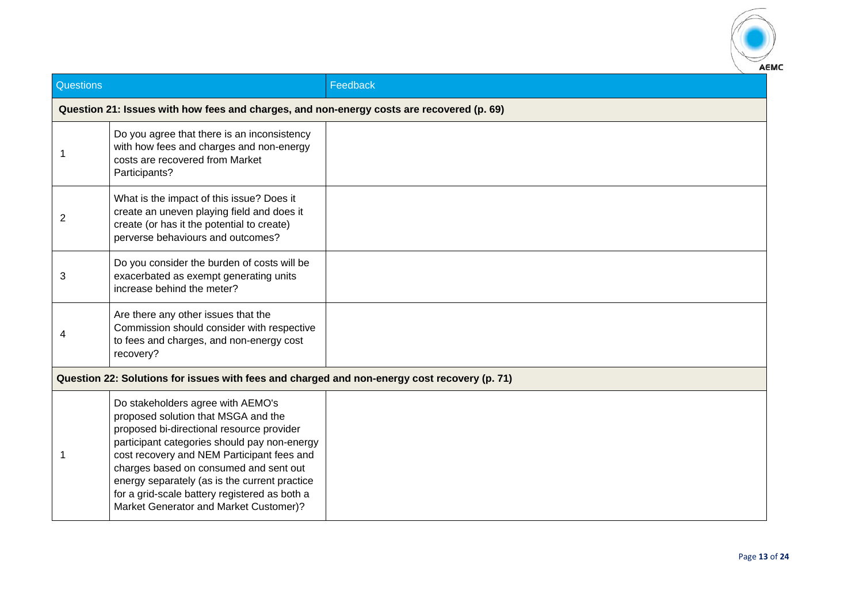

| Questions |                                                                                                                                                                                                                                                                                                                                                                                                           | Feedback |  |
|-----------|-----------------------------------------------------------------------------------------------------------------------------------------------------------------------------------------------------------------------------------------------------------------------------------------------------------------------------------------------------------------------------------------------------------|----------|--|
|           | Question 21: Issues with how fees and charges, and non-energy costs are recovered (p. 69)                                                                                                                                                                                                                                                                                                                 |          |  |
|           | Do you agree that there is an inconsistency<br>with how fees and charges and non-energy<br>costs are recovered from Market<br>Participants?                                                                                                                                                                                                                                                               |          |  |
| 2         | What is the impact of this issue? Does it<br>create an uneven playing field and does it<br>create (or has it the potential to create)<br>perverse behaviours and outcomes?                                                                                                                                                                                                                                |          |  |
| 3         | Do you consider the burden of costs will be<br>exacerbated as exempt generating units<br>increase behind the meter?                                                                                                                                                                                                                                                                                       |          |  |
|           | Are there any other issues that the<br>Commission should consider with respective<br>to fees and charges, and non-energy cost<br>recovery?                                                                                                                                                                                                                                                                |          |  |
|           | Question 22: Solutions for issues with fees and charged and non-energy cost recovery (p. 71)                                                                                                                                                                                                                                                                                                              |          |  |
|           | Do stakeholders agree with AEMO's<br>proposed solution that MSGA and the<br>proposed bi-directional resource provider<br>participant categories should pay non-energy<br>cost recovery and NEM Participant fees and<br>charges based on consumed and sent out<br>energy separately (as is the current practice<br>for a grid-scale battery registered as both a<br>Market Generator and Market Customer)? |          |  |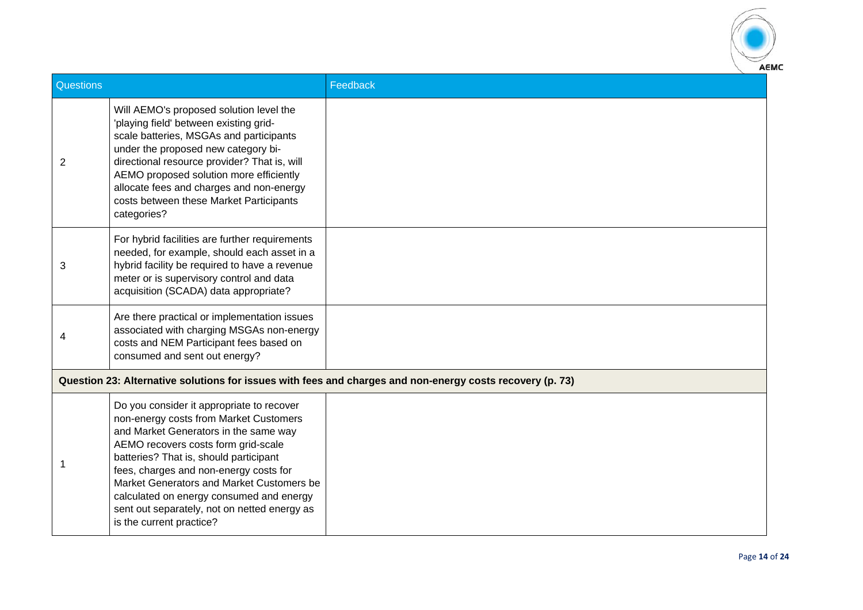

| Questions |                                                                                                                                                                                                                                                                                                                                                                                                                              | Feedback                                                                                                  |
|-----------|------------------------------------------------------------------------------------------------------------------------------------------------------------------------------------------------------------------------------------------------------------------------------------------------------------------------------------------------------------------------------------------------------------------------------|-----------------------------------------------------------------------------------------------------------|
| 2         | Will AEMO's proposed solution level the<br>'playing field' between existing grid-<br>scale batteries, MSGAs and participants<br>under the proposed new category bi-<br>directional resource provider? That is, will<br>AEMO proposed solution more efficiently<br>allocate fees and charges and non-energy<br>costs between these Market Participants<br>categories?                                                         |                                                                                                           |
| 3         | For hybrid facilities are further requirements<br>needed, for example, should each asset in a<br>hybrid facility be required to have a revenue<br>meter or is supervisory control and data<br>acquisition (SCADA) data appropriate?                                                                                                                                                                                          |                                                                                                           |
| 4         | Are there practical or implementation issues<br>associated with charging MSGAs non-energy<br>costs and NEM Participant fees based on<br>consumed and sent out energy?                                                                                                                                                                                                                                                        |                                                                                                           |
|           |                                                                                                                                                                                                                                                                                                                                                                                                                              | Question 23: Alternative solutions for issues with fees and charges and non-energy costs recovery (p. 73) |
|           | Do you consider it appropriate to recover<br>non-energy costs from Market Customers<br>and Market Generators in the same way<br>AEMO recovers costs form grid-scale<br>batteries? That is, should participant<br>fees, charges and non-energy costs for<br>Market Generators and Market Customers be<br>calculated on energy consumed and energy<br>sent out separately, not on netted energy as<br>is the current practice? |                                                                                                           |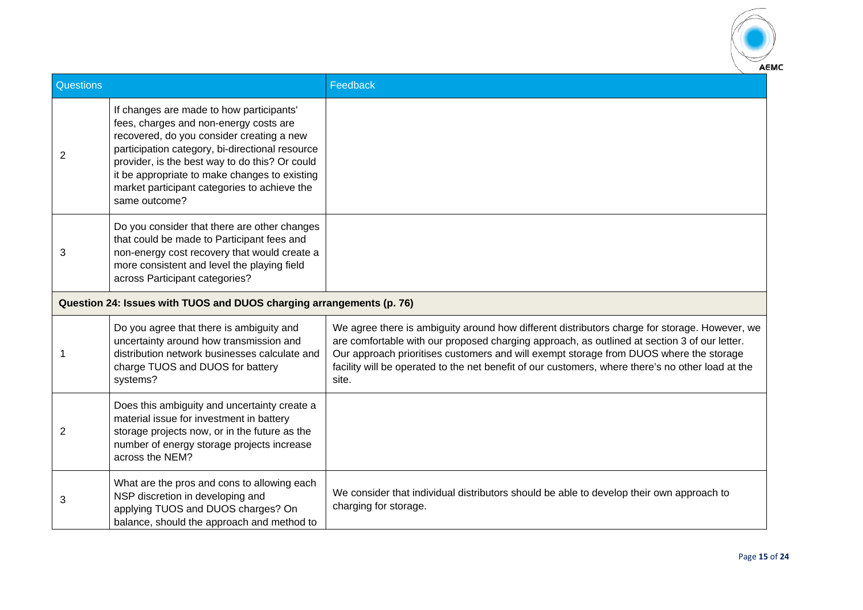

| Questions                                                            |                                                                                                                                                                                                                                                                                                                                                        | Feedback                                                                                                                                                                                                                                                                                                                                                                                              |
|----------------------------------------------------------------------|--------------------------------------------------------------------------------------------------------------------------------------------------------------------------------------------------------------------------------------------------------------------------------------------------------------------------------------------------------|-------------------------------------------------------------------------------------------------------------------------------------------------------------------------------------------------------------------------------------------------------------------------------------------------------------------------------------------------------------------------------------------------------|
| 2                                                                    | If changes are made to how participants'<br>fees, charges and non-energy costs are<br>recovered, do you consider creating a new<br>participation category, bi-directional resource<br>provider, is the best way to do this? Or could<br>it be appropriate to make changes to existing<br>market participant categories to achieve the<br>same outcome? |                                                                                                                                                                                                                                                                                                                                                                                                       |
| 3                                                                    | Do you consider that there are other changes<br>that could be made to Participant fees and<br>non-energy cost recovery that would create a<br>more consistent and level the playing field<br>across Participant categories?                                                                                                                            |                                                                                                                                                                                                                                                                                                                                                                                                       |
| Question 24: Issues with TUOS and DUOS charging arrangements (p. 76) |                                                                                                                                                                                                                                                                                                                                                        |                                                                                                                                                                                                                                                                                                                                                                                                       |
| 1                                                                    | Do you agree that there is ambiguity and<br>uncertainty around how transmission and<br>distribution network businesses calculate and<br>charge TUOS and DUOS for battery<br>systems?                                                                                                                                                                   | We agree there is ambiguity around how different distributors charge for storage. However, we<br>are comfortable with our proposed charging approach, as outlined at section 3 of our letter.<br>Our approach prioritises customers and will exempt storage from DUOS where the storage<br>facility will be operated to the net benefit of our customers, where there's no other load at the<br>site. |
| 2                                                                    | Does this ambiguity and uncertainty create a<br>material issue for investment in battery<br>storage projects now, or in the future as the<br>number of energy storage projects increase<br>across the NEM?                                                                                                                                             |                                                                                                                                                                                                                                                                                                                                                                                                       |
| 3                                                                    | What are the pros and cons to allowing each<br>NSP discretion in developing and<br>applying TUOS and DUOS charges? On<br>balance, should the approach and method to                                                                                                                                                                                    | We consider that individual distributors should be able to develop their own approach to<br>charging for storage.                                                                                                                                                                                                                                                                                     |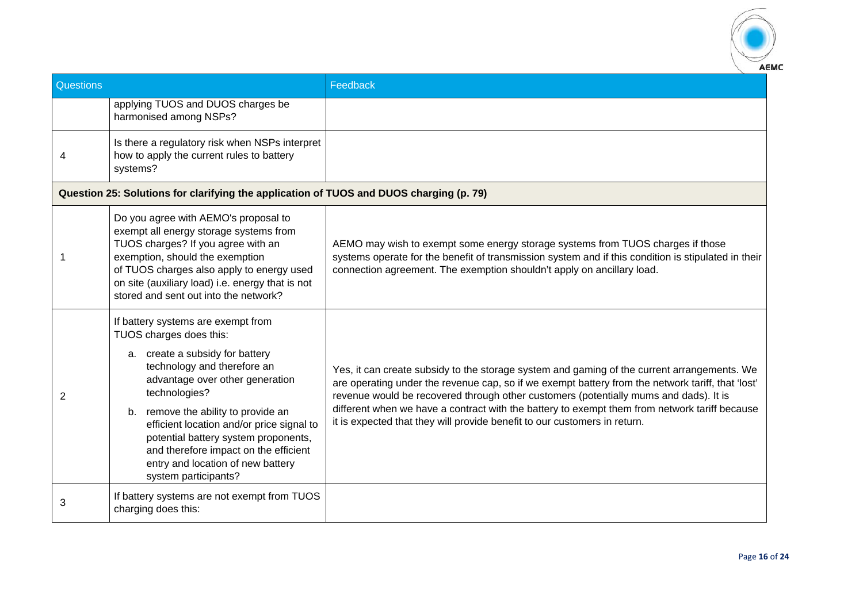

| Questions |                                                                                                                                                                                                                                                                                                                                                                                                                       | Feedback                                                                                                                                                                                                                                                                                                                                                                                                                                                                |
|-----------|-----------------------------------------------------------------------------------------------------------------------------------------------------------------------------------------------------------------------------------------------------------------------------------------------------------------------------------------------------------------------------------------------------------------------|-------------------------------------------------------------------------------------------------------------------------------------------------------------------------------------------------------------------------------------------------------------------------------------------------------------------------------------------------------------------------------------------------------------------------------------------------------------------------|
|           | applying TUOS and DUOS charges be<br>harmonised among NSPs?                                                                                                                                                                                                                                                                                                                                                           |                                                                                                                                                                                                                                                                                                                                                                                                                                                                         |
| 4         | Is there a regulatory risk when NSPs interpret<br>how to apply the current rules to battery<br>systems?                                                                                                                                                                                                                                                                                                               |                                                                                                                                                                                                                                                                                                                                                                                                                                                                         |
|           | Question 25: Solutions for clarifying the application of TUOS and DUOS charging (p. 79)                                                                                                                                                                                                                                                                                                                               |                                                                                                                                                                                                                                                                                                                                                                                                                                                                         |
|           | Do you agree with AEMO's proposal to<br>exempt all energy storage systems from<br>TUOS charges? If you agree with an<br>exemption, should the exemption<br>of TUOS charges also apply to energy used<br>on site (auxiliary load) i.e. energy that is not<br>stored and sent out into the network?                                                                                                                     | AEMO may wish to exempt some energy storage systems from TUOS charges if those<br>systems operate for the benefit of transmission system and if this condition is stipulated in their<br>connection agreement. The exemption shouldn't apply on ancillary load.                                                                                                                                                                                                         |
| 2         | If battery systems are exempt from<br>TUOS charges does this:<br>a. create a subsidy for battery<br>technology and therefore an<br>advantage over other generation<br>technologies?<br>b. remove the ability to provide an<br>efficient location and/or price signal to<br>potential battery system proponents,<br>and therefore impact on the efficient<br>entry and location of new battery<br>system participants? | Yes, it can create subsidy to the storage system and gaming of the current arrangements. We<br>are operating under the revenue cap, so if we exempt battery from the network tariff, that 'lost'<br>revenue would be recovered through other customers (potentially mums and dads). It is<br>different when we have a contract with the battery to exempt them from network tariff because<br>it is expected that they will provide benefit to our customers in return. |
| 3         | If battery systems are not exempt from TUOS<br>charging does this:                                                                                                                                                                                                                                                                                                                                                    |                                                                                                                                                                                                                                                                                                                                                                                                                                                                         |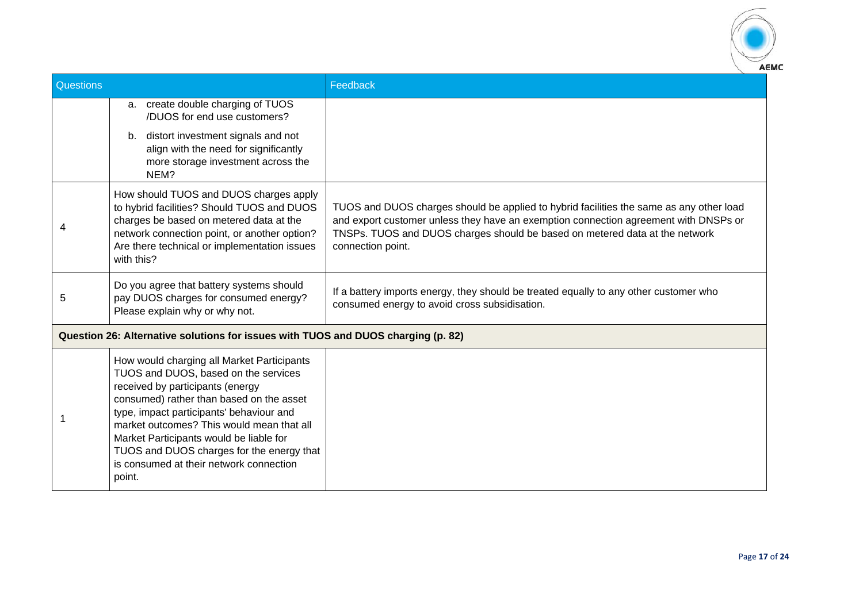

| <b>Questions</b> |                                                                                                                                                                                                                                                                                                                                                                                                          | Feedback                                                                                                                                                                                                                                                                            |
|------------------|----------------------------------------------------------------------------------------------------------------------------------------------------------------------------------------------------------------------------------------------------------------------------------------------------------------------------------------------------------------------------------------------------------|-------------------------------------------------------------------------------------------------------------------------------------------------------------------------------------------------------------------------------------------------------------------------------------|
|                  | a. create double charging of TUOS<br>/DUOS for end use customers?                                                                                                                                                                                                                                                                                                                                        |                                                                                                                                                                                                                                                                                     |
|                  | distort investment signals and not<br>b.<br>align with the need for significantly<br>more storage investment across the<br>NEM?                                                                                                                                                                                                                                                                          |                                                                                                                                                                                                                                                                                     |
|                  | How should TUOS and DUOS charges apply<br>to hybrid facilities? Should TUOS and DUOS<br>charges be based on metered data at the<br>network connection point, or another option?<br>Are there technical or implementation issues<br>with this?                                                                                                                                                            | TUOS and DUOS charges should be applied to hybrid facilities the same as any other load<br>and export customer unless they have an exemption connection agreement with DNSPs or<br>TNSPs. TUOS and DUOS charges should be based on metered data at the network<br>connection point. |
| 5                | Do you agree that battery systems should<br>pay DUOS charges for consumed energy?<br>Please explain why or why not.                                                                                                                                                                                                                                                                                      | If a battery imports energy, they should be treated equally to any other customer who<br>consumed energy to avoid cross subsidisation.                                                                                                                                              |
|                  | Question 26: Alternative solutions for issues with TUOS and DUOS charging (p. 82)                                                                                                                                                                                                                                                                                                                        |                                                                                                                                                                                                                                                                                     |
|                  | How would charging all Market Participants<br>TUOS and DUOS, based on the services<br>received by participants (energy<br>consumed) rather than based on the asset<br>type, impact participants' behaviour and<br>market outcomes? This would mean that all<br>Market Participants would be liable for<br>TUOS and DUOS charges for the energy that<br>is consumed at their network connection<br>point. |                                                                                                                                                                                                                                                                                     |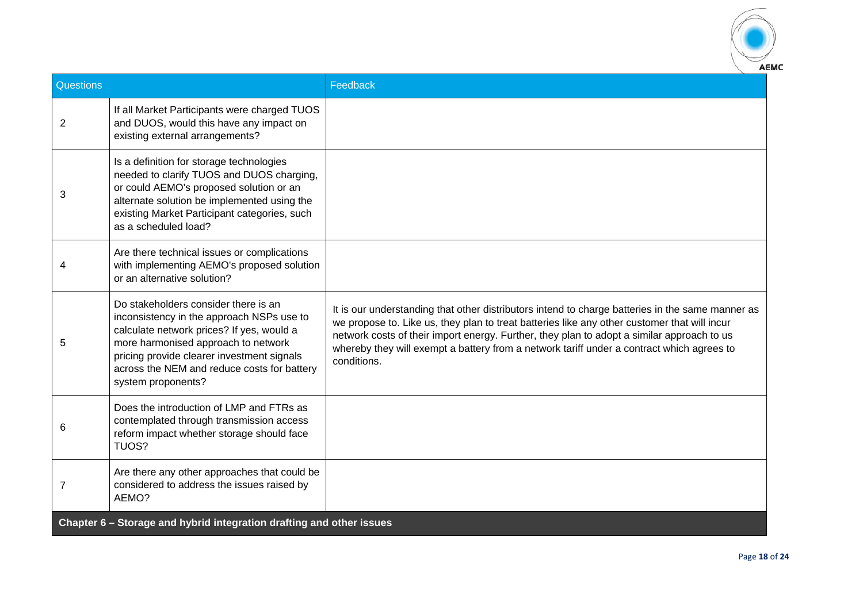

| Questions      |                                                                                                                                                                                                                                                                                          | Feedback                                                                                                                                                                                                                                                                                                                                                                                                   |  |
|----------------|------------------------------------------------------------------------------------------------------------------------------------------------------------------------------------------------------------------------------------------------------------------------------------------|------------------------------------------------------------------------------------------------------------------------------------------------------------------------------------------------------------------------------------------------------------------------------------------------------------------------------------------------------------------------------------------------------------|--|
| $\overline{2}$ | If all Market Participants were charged TUOS<br>and DUOS, would this have any impact on<br>existing external arrangements?                                                                                                                                                               |                                                                                                                                                                                                                                                                                                                                                                                                            |  |
| 3              | Is a definition for storage technologies<br>needed to clarify TUOS and DUOS charging,<br>or could AEMO's proposed solution or an<br>alternate solution be implemented using the<br>existing Market Participant categories, such<br>as a scheduled load?                                  |                                                                                                                                                                                                                                                                                                                                                                                                            |  |
|                | Are there technical issues or complications<br>with implementing AEMO's proposed solution<br>or an alternative solution?                                                                                                                                                                 |                                                                                                                                                                                                                                                                                                                                                                                                            |  |
| 5              | Do stakeholders consider there is an<br>inconsistency in the approach NSPs use to<br>calculate network prices? If yes, would a<br>more harmonised approach to network<br>pricing provide clearer investment signals<br>across the NEM and reduce costs for battery<br>system proponents? | It is our understanding that other distributors intend to charge batteries in the same manner as<br>we propose to. Like us, they plan to treat batteries like any other customer that will incur<br>network costs of their import energy. Further, they plan to adopt a similar approach to us<br>whereby they will exempt a battery from a network tariff under a contract which agrees to<br>conditions. |  |
| 6              | Does the introduction of LMP and FTRs as<br>contemplated through transmission access<br>reform impact whether storage should face<br>TUOS?                                                                                                                                               |                                                                                                                                                                                                                                                                                                                                                                                                            |  |
| 7              | Are there any other approaches that could be<br>considered to address the issues raised by<br>AEMO?                                                                                                                                                                                      |                                                                                                                                                                                                                                                                                                                                                                                                            |  |
|                | Chapter 6 - Storage and hybrid integration drafting and other issues                                                                                                                                                                                                                     |                                                                                                                                                                                                                                                                                                                                                                                                            |  |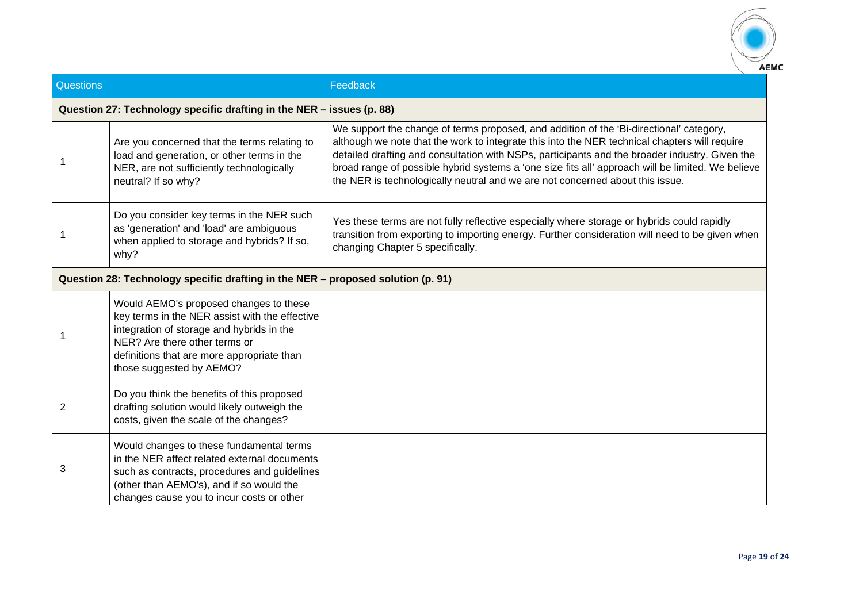

| <b>Questions</b> |                                                                                                                                                                                                                                                  | Feedback                                                                                                                                                                                                                                                                                                                                                                                                                                                                         |  |
|------------------|--------------------------------------------------------------------------------------------------------------------------------------------------------------------------------------------------------------------------------------------------|----------------------------------------------------------------------------------------------------------------------------------------------------------------------------------------------------------------------------------------------------------------------------------------------------------------------------------------------------------------------------------------------------------------------------------------------------------------------------------|--|
|                  | Question 27: Technology specific drafting in the NER - issues (p. 88)                                                                                                                                                                            |                                                                                                                                                                                                                                                                                                                                                                                                                                                                                  |  |
|                  | Are you concerned that the terms relating to<br>load and generation, or other terms in the<br>NER, are not sufficiently technologically<br>neutral? If so why?                                                                                   | We support the change of terms proposed, and addition of the 'Bi-directional' category,<br>although we note that the work to integrate this into the NER technical chapters will require<br>detailed drafting and consultation with NSPs, participants and the broader industry. Given the<br>broad range of possible hybrid systems a 'one size fits all' approach will be limited. We believe<br>the NER is technologically neutral and we are not concerned about this issue. |  |
|                  | Do you consider key terms in the NER such<br>as 'generation' and 'load' are ambiguous<br>when applied to storage and hybrids? If so,<br>why?                                                                                                     | Yes these terms are not fully reflective especially where storage or hybrids could rapidly<br>transition from exporting to importing energy. Further consideration will need to be given when<br>changing Chapter 5 specifically.                                                                                                                                                                                                                                                |  |
|                  | Question 28: Technology specific drafting in the NER - proposed solution (p. 91)                                                                                                                                                                 |                                                                                                                                                                                                                                                                                                                                                                                                                                                                                  |  |
|                  | Would AEMO's proposed changes to these<br>key terms in the NER assist with the effective<br>integration of storage and hybrids in the<br>NER? Are there other terms or<br>definitions that are more appropriate than<br>those suggested by AEMO? |                                                                                                                                                                                                                                                                                                                                                                                                                                                                                  |  |
| 2                | Do you think the benefits of this proposed<br>drafting solution would likely outweigh the<br>costs, given the scale of the changes?                                                                                                              |                                                                                                                                                                                                                                                                                                                                                                                                                                                                                  |  |
| 3                | Would changes to these fundamental terms<br>in the NER affect related external documents<br>such as contracts, procedures and guidelines<br>(other than AEMO's), and if so would the<br>changes cause you to incur costs or other                |                                                                                                                                                                                                                                                                                                                                                                                                                                                                                  |  |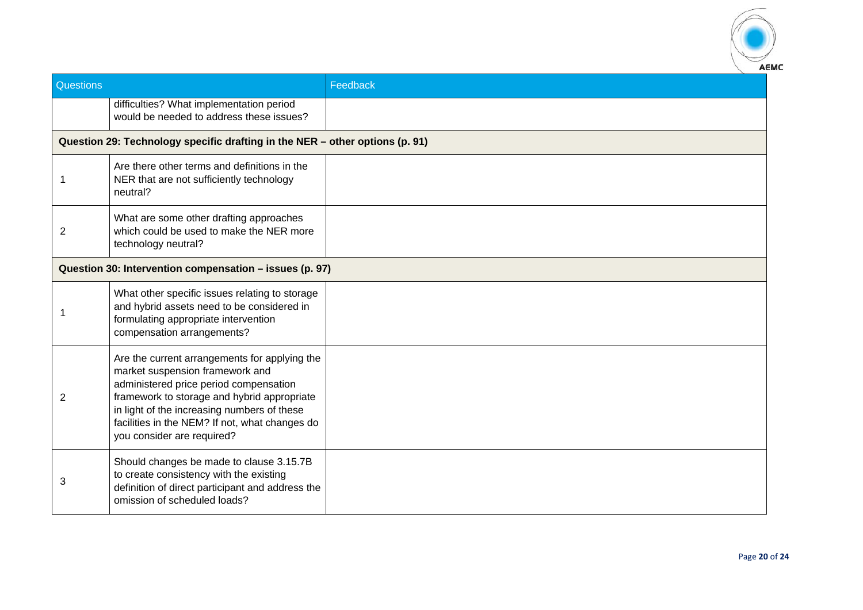

| Questions |                                                                                                                                                                                                                                                                                                          | Feedback |
|-----------|----------------------------------------------------------------------------------------------------------------------------------------------------------------------------------------------------------------------------------------------------------------------------------------------------------|----------|
|           | difficulties? What implementation period<br>would be needed to address these issues?                                                                                                                                                                                                                     |          |
|           | Question 29: Technology specific drafting in the NER - other options (p. 91)                                                                                                                                                                                                                             |          |
| -1        | Are there other terms and definitions in the<br>NER that are not sufficiently technology<br>neutral?                                                                                                                                                                                                     |          |
| 2         | What are some other drafting approaches<br>which could be used to make the NER more<br>technology neutral?                                                                                                                                                                                               |          |
|           | Question 30: Intervention compensation - issues (p. 97)                                                                                                                                                                                                                                                  |          |
|           | What other specific issues relating to storage<br>and hybrid assets need to be considered in<br>formulating appropriate intervention<br>compensation arrangements?                                                                                                                                       |          |
| 2         | Are the current arrangements for applying the<br>market suspension framework and<br>administered price period compensation<br>framework to storage and hybrid appropriate<br>in light of the increasing numbers of these<br>facilities in the NEM? If not, what changes do<br>you consider are required? |          |
| 3         | Should changes be made to clause 3.15.7B<br>to create consistency with the existing<br>definition of direct participant and address the<br>omission of scheduled loads?                                                                                                                                  |          |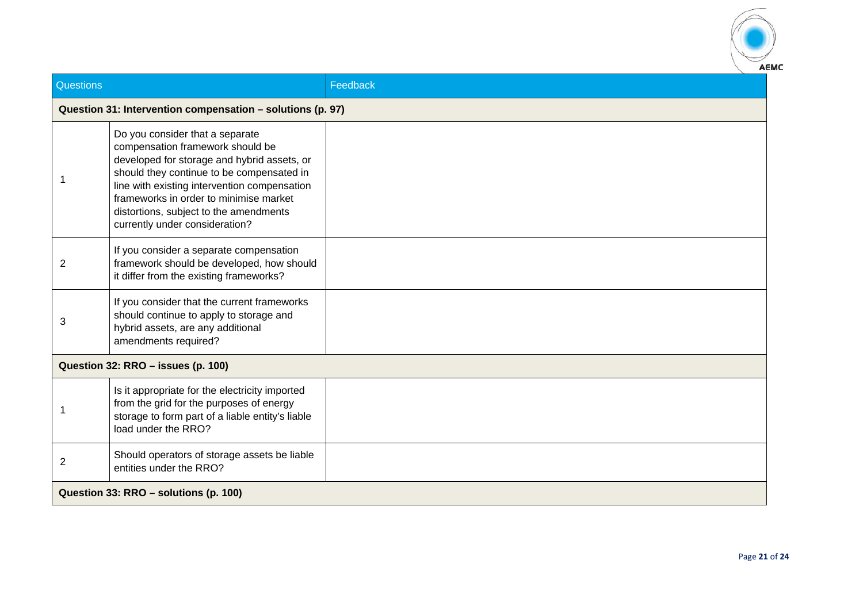

| Questions                                                  |                                                                                                                                                                                                                                                                                                                                       | Feedback |  |
|------------------------------------------------------------|---------------------------------------------------------------------------------------------------------------------------------------------------------------------------------------------------------------------------------------------------------------------------------------------------------------------------------------|----------|--|
| Question 31: Intervention compensation - solutions (p. 97) |                                                                                                                                                                                                                                                                                                                                       |          |  |
|                                                            | Do you consider that a separate<br>compensation framework should be<br>developed for storage and hybrid assets, or<br>should they continue to be compensated in<br>line with existing intervention compensation<br>frameworks in order to minimise market<br>distortions, subject to the amendments<br>currently under consideration? |          |  |
| 2                                                          | If you consider a separate compensation<br>framework should be developed, how should<br>it differ from the existing frameworks?                                                                                                                                                                                                       |          |  |
| 3                                                          | If you consider that the current frameworks<br>should continue to apply to storage and<br>hybrid assets, are any additional<br>amendments required?                                                                                                                                                                                   |          |  |
|                                                            | Question 32: RRO - issues (p. 100)                                                                                                                                                                                                                                                                                                    |          |  |
|                                                            | Is it appropriate for the electricity imported<br>from the grid for the purposes of energy<br>storage to form part of a liable entity's liable<br>load under the RRO?                                                                                                                                                                 |          |  |
| $\overline{2}$                                             | Should operators of storage assets be liable<br>entities under the RRO?                                                                                                                                                                                                                                                               |          |  |
|                                                            | Question 33: RRO - solutions (p. 100)                                                                                                                                                                                                                                                                                                 |          |  |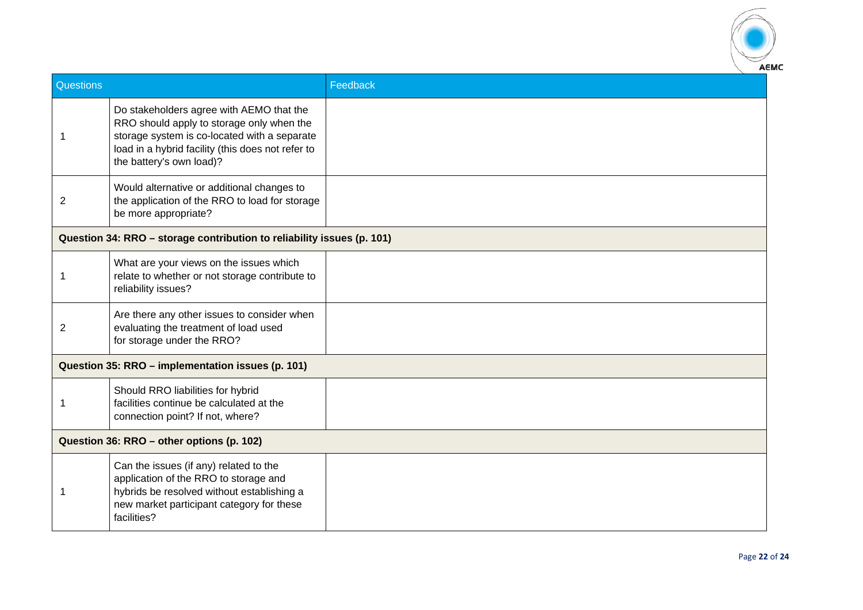

| Questions                                         |                                                                                                                                                                                                                        | Feedback |  |
|---------------------------------------------------|------------------------------------------------------------------------------------------------------------------------------------------------------------------------------------------------------------------------|----------|--|
| 1                                                 | Do stakeholders agree with AEMO that the<br>RRO should apply to storage only when the<br>storage system is co-located with a separate<br>load in a hybrid facility (this does not refer to<br>the battery's own load)? |          |  |
| $\overline{2}$                                    | Would alternative or additional changes to<br>the application of the RRO to load for storage<br>be more appropriate?                                                                                                   |          |  |
|                                                   | Question 34: RRO - storage contribution to reliability issues (p. 101)                                                                                                                                                 |          |  |
| 1                                                 | What are your views on the issues which<br>relate to whether or not storage contribute to<br>reliability issues?                                                                                                       |          |  |
| 2                                                 | Are there any other issues to consider when<br>evaluating the treatment of load used<br>for storage under the RRO?                                                                                                     |          |  |
| Question 35: RRO - implementation issues (p. 101) |                                                                                                                                                                                                                        |          |  |
| 1                                                 | Should RRO liabilities for hybrid<br>facilities continue be calculated at the<br>connection point? If not, where?                                                                                                      |          |  |
|                                                   | Question 36: RRO - other options (p. 102)                                                                                                                                                                              |          |  |
| 1                                                 | Can the issues (if any) related to the<br>application of the RRO to storage and<br>hybrids be resolved without establishing a<br>new market participant category for these<br>facilities?                              |          |  |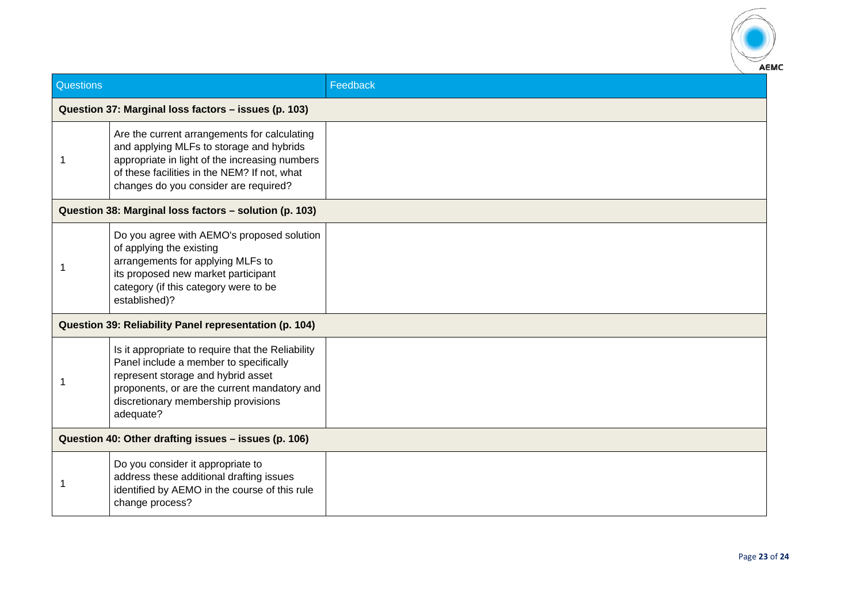

| <b>Questions</b>                                       |                                                                                                                                                                                                                                       | Feedback |  |
|--------------------------------------------------------|---------------------------------------------------------------------------------------------------------------------------------------------------------------------------------------------------------------------------------------|----------|--|
|                                                        | Question 37: Marginal loss factors - issues (p. 103)                                                                                                                                                                                  |          |  |
|                                                        | Are the current arrangements for calculating<br>and applying MLFs to storage and hybrids<br>appropriate in light of the increasing numbers<br>of these facilities in the NEM? If not, what<br>changes do you consider are required?   |          |  |
|                                                        | Question 38: Marginal loss factors - solution (p. 103)                                                                                                                                                                                |          |  |
|                                                        | Do you agree with AEMO's proposed solution<br>of applying the existing<br>arrangements for applying MLFs to<br>its proposed new market participant<br>category (if this category were to be<br>established)?                          |          |  |
| Question 39: Reliability Panel representation (p. 104) |                                                                                                                                                                                                                                       |          |  |
|                                                        | Is it appropriate to require that the Reliability<br>Panel include a member to specifically<br>represent storage and hybrid asset<br>proponents, or are the current mandatory and<br>discretionary membership provisions<br>adequate? |          |  |
| Question 40: Other drafting issues - issues (p. 106)   |                                                                                                                                                                                                                                       |          |  |
|                                                        | Do you consider it appropriate to<br>address these additional drafting issues<br>identified by AEMO in the course of this rule<br>change process?                                                                                     |          |  |